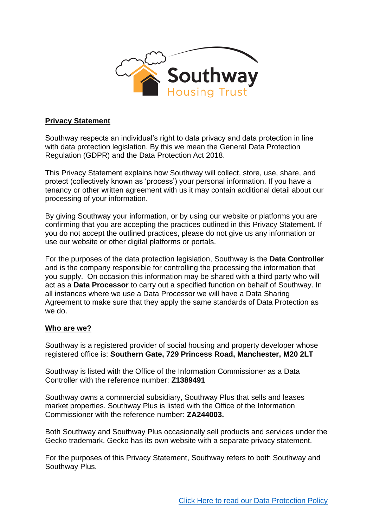

## **Privacy Statement**

Southway respects an individual's right to data privacy and data protection in line with data protection legislation. By this we mean the General Data Protection Regulation (GDPR) and the Data Protection Act 2018.

This Privacy Statement explains how Southway will collect, store, use, share, and protect (collectively known as 'process') your personal information. If you have a tenancy or other written agreement with us it may contain additional detail about our processing of your information.

By giving Southway your information, or by using our website or platforms you are confirming that you are accepting the practices outlined in this Privacy Statement. If you do not accept the outlined practices, please do not give us any information or use our website or other digital platforms or portals.

For the purposes of the data protection legislation, Southway is the **Data Controller** and is the company responsible for controlling the processing the information that you supply. On occasion this information may be shared with a third party who will act as a **Data Processor** to carry out a specified function on behalf of Southway. In all instances where we use a Data Processor we will have a Data Sharing Agreement to make sure that they apply the same standards of Data Protection as we do.

## **Who are we?**

Southway is a registered provider of social housing and property developer whose registered office is: **Southern Gate, 729 Princess Road, Manchester, M20 2LT**

Southway is listed with the Office of the Information Commissioner as a Data Controller with the reference number: **Z1389491**

Southway owns a commercial subsidiary, Southway Plus that sells and leases market properties. Southway Plus is listed with the Office of the Information Commissioner with the reference number: **ZA244003.**

Both Southway and Southway Plus occasionally sell products and services under the Gecko trademark. Gecko has its own website with a separate privacy statement.

For the purposes of this Privacy Statement, Southway refers to both Southway and Southway Plus.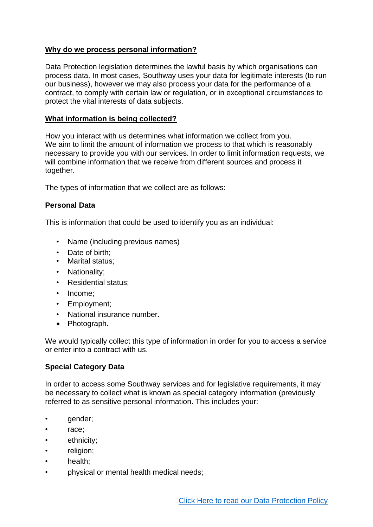# **Why do we process personal information?**

Data Protection legislation determines the lawful basis by which organisations can process data. In most cases, Southway uses your data for legitimate interests (to run our business), however we may also process your data for the performance of a contract, to comply with certain law or regulation, or in exceptional circumstances to protect the vital interests of data subjects.

## **What information is being collected?**

How you interact with us determines what information we collect from you. We aim to limit the amount of information we process to that which is reasonably necessary to provide you with our services. In order to limit information requests, we will combine information that we receive from different sources and process it together.

The types of information that we collect are as follows:

## **Personal Data**

This is information that could be used to identify you as an individual:

- Name (including previous names)
- Date of birth:
- Marital status;
- Nationality;
- Residential status;
- Income:
- Employment;
- National insurance number.
- Photograph.

We would typically collect this type of information in order for you to access a service or enter into a contract with us.

# **Special Category Data**

In order to access some Southway services and for legislative requirements, it may be necessary to collect what is known as special category information (previously referred to as sensitive personal information. This includes your:

- gender;
- race;
- ethnicity;
- religion;
- health;
- physical or mental health medical needs;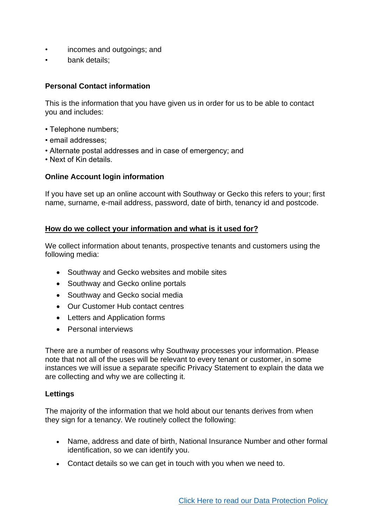- incomes and outgoings; and
- bank details:

# **Personal Contact information**

This is the information that you have given us in order for us to be able to contact you and includes:

- Telephone numbers;
- email addresses;
- Alternate postal addresses and in case of emergency; and
- Next of Kin details.

## **Online Account login information**

If you have set up an online account with Southway or Gecko this refers to your; first name, surname, e-mail address, password, date of birth, tenancy id and postcode.

#### **How do we collect your information and what is it used for?**

We collect information about tenants, prospective tenants and customers using the following media:

- Southway and Gecko websites and mobile sites
- Southway and Gecko online portals
- Southway and Gecko social media
- Our Customer Hub contact centres
- Letters and Application forms
- Personal interviews

There are a number of reasons why Southway processes your information. Please note that not all of the uses will be relevant to every tenant or customer, in some instances we will issue a separate specific Privacy Statement to explain the data we are collecting and why we are collecting it.

#### **Lettings**

The majority of the information that we hold about our tenants derives from when they sign for a tenancy. We routinely collect the following:

- Name, address and date of birth, National Insurance Number and other formal identification, so we can identify you.
- Contact details so we can get in touch with you when we need to.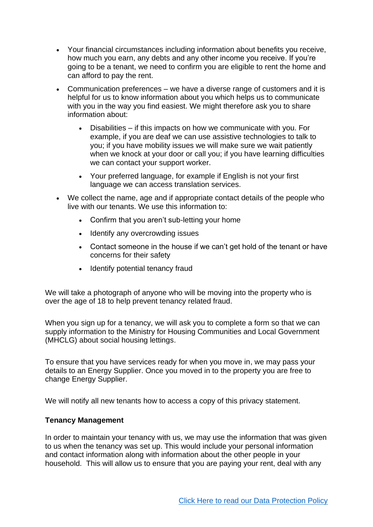- Your financial circumstances including information about benefits you receive, how much you earn, any debts and any other income you receive. If you're going to be a tenant, we need to confirm you are eligible to rent the home and can afford to pay the rent.
- Communication preferences we have a diverse range of customers and it is helpful for us to know information about you which helps us to communicate with you in the way you find easiest. We might therefore ask you to share information about:
	- Disabilities if this impacts on how we communicate with you. For example, if you are deaf we can use assistive technologies to talk to you; if you have mobility issues we will make sure we wait patiently when we knock at your door or call you; if you have learning difficulties we can contact your support worker.
	- Your preferred language, for example if English is not your first language we can access translation services.
- We collect the name, age and if appropriate contact details of the people who live with our tenants. We use this information to:
	- Confirm that you aren't sub-letting your home
	- Identify any overcrowding issues
	- Contact someone in the house if we can't get hold of the tenant or have concerns for their safety
	- Identify potential tenancy fraud

We will take a photograph of anyone who will be moving into the property who is over the age of 18 to help prevent tenancy related fraud.

When you sign up for a tenancy, we will ask you to complete a form so that we can supply information to the Ministry for Housing Communities and Local Government (MHCLG) about social housing lettings.

To ensure that you have services ready for when you move in, we may pass your details to an Energy Supplier. Once you moved in to the property you are free to change Energy Supplier.

We will notify all new tenants how to access a copy of this privacy statement.

## **Tenancy Management**

In order to maintain your tenancy with us, we may use the information that was given to us when the tenancy was set up. This would include your personal information and contact information along with information about the other people in your household. This will allow us to ensure that you are paying your rent, deal with any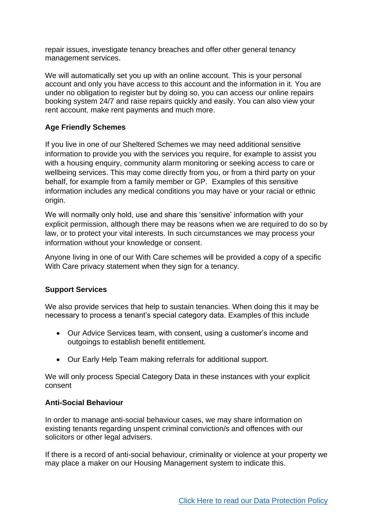repair issues, investigate tenancy breaches and offer other general tenancy management services.

We will automatically set you up with an online account. This is your personal account and only you have access to this account and the information in it. You are under no obligation to register but by doing so, you can access our online repairs booking system 24/7 and raise repairs quickly and easily. You can also view your rent account, make rent payments and much more.

# **Age Friendly Schemes**

If you live in one of our Sheltered Schemes we may need additional sensitive information to provide you with the services you require, for example to assist you with a housing enquiry, community alarm monitoring or seeking access to care or wellbeing services. This may come directly from you, or from a third party on your behalf, for example from a family member or GP. Examples of this sensitive information includes any medical conditions you may have or your racial or ethnic origin.

We will normally only hold, use and share this 'sensitive' information with your explicit permission, although there may be reasons when we are required to do so by law, or to protect your vital interests. In such circumstances we may process your information without your knowledge or consent.

Anyone living in one of our With Care schemes will be provided a copy of a specific With Care privacy statement when they sign for a tenancy.

# **Support Services**

We also provide services that help to sustain tenancies. When doing this it may be necessary to process a tenant's special category data. Examples of this include

- Our Advice Services team, with consent, using a customer's income and outgoings to establish benefit entitlement.
- Our Early Help Team making referrals for additional support.

We will only process Special Category Data in these instances with your explicit consent

## **Anti-Social Behaviour**

In order to manage anti-social behaviour cases, we may share information on existing tenants regarding unspent criminal conviction/s and offences with our solicitors or other legal advisers.

If there is a record of anti-social behaviour, criminality or violence at your property we may place a maker on our Housing Management system to indicate this.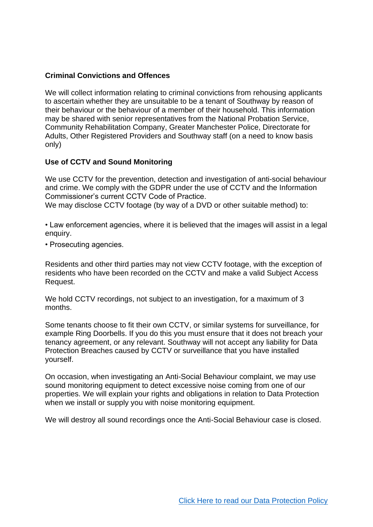# **Criminal Convictions and Offences**

We will collect information relating to criminal convictions from rehousing applicants to ascertain whether they are unsuitable to be a tenant of Southway by reason of their behaviour or the behaviour of a member of their household. This information may be shared with senior representatives from the National Probation Service, Community Rehabilitation Company, Greater Manchester Police, Directorate for Adults, Other Registered Providers and Southway staff (on a need to know basis only)

## **Use of CCTV and Sound Monitoring**

We use CCTV for the prevention, detection and investigation of anti-social behaviour and crime. We comply with the GDPR under the use of CCTV and the Information Commissioner's current CCTV Code of Practice. We may disclose CCTV footage (by way of a DVD or other suitable method) to:

• Law enforcement agencies, where it is believed that the images will assist in a legal enquiry.

• Prosecuting agencies.

Residents and other third parties may not view CCTV footage, with the exception of residents who have been recorded on the CCTV and make a valid Subject Access Request.

We hold CCTV recordings, not subject to an investigation, for a maximum of 3 months.

Some tenants choose to fit their own CCTV, or similar systems for surveillance, for example Ring Doorbells. If you do this you must ensure that it does not breach your tenancy agreement, or any relevant. Southway will not accept any liability for Data Protection Breaches caused by CCTV or surveillance that you have installed yourself.

On occasion, when investigating an Anti-Social Behaviour complaint, we may use sound monitoring equipment to detect excessive noise coming from one of our properties. We will explain your rights and obligations in relation to Data Protection when we install or supply you with noise monitoring equipment.

We will destroy all sound recordings once the Anti-Social Behaviour case is closed.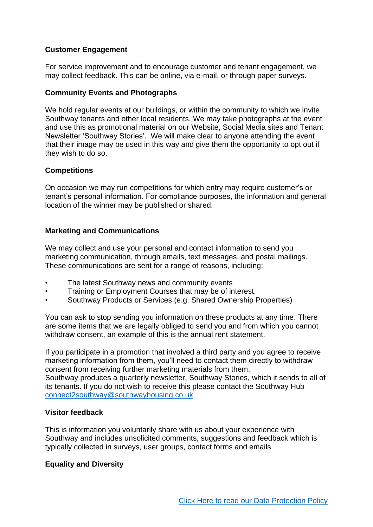## **Customer Engagement**

For service improvement and to encourage customer and tenant engagement, we may collect feedback. This can be online, via e-mail, or through paper surveys.

## **Community Events and Photographs**

We hold regular events at our buildings, or within the community to which we invite Southway tenants and other local residents. We may take photographs at the event and use this as promotional material on our Website, Social Media sites and Tenant Newsletter 'Southway Stories'. We will make clear to anyone attending the event that their image may be used in this way and give them the opportunity to opt out if they wish to do so.

#### **Competitions**

On occasion we may run competitions for which entry may require customer's or tenant's personal information. For compliance purposes, the information and general location of the winner may be published or shared.

#### **Marketing and Communications**

We may collect and use your personal and contact information to send you marketing communication, through emails, text messages, and postal mailings. These communications are sent for a range of reasons, including;

- The latest Southway news and community events
- Training or Employment Courses that may be of interest.
- Southway Products or Services (e.g. Shared Ownership Properties)

You can ask to stop sending you information on these products at any time. There are some items that we are legally obliged to send you and from which you cannot withdraw consent, an example of this is the annual rent statement.

If you participate in a promotion that involved a third party and you agree to receive marketing information from them, you'll need to contact them directly to withdraw consent from receiving further marketing materials from them. Southway produces a quarterly newsletter, Southway Stories, which it sends to all of its tenants. If you do not wish to receive this please contact the Southway Hub [connect2southway@southwayhousing.co.uk](mailto:connect2southway@southwayhousing.co.uk)

#### **Visitor feedback**

This is information you voluntarily share with us about your experience with Southway and includes unsolicited comments, suggestions and feedback which is typically collected in surveys, user groups, contact forms and emails

## **Equality and Diversity**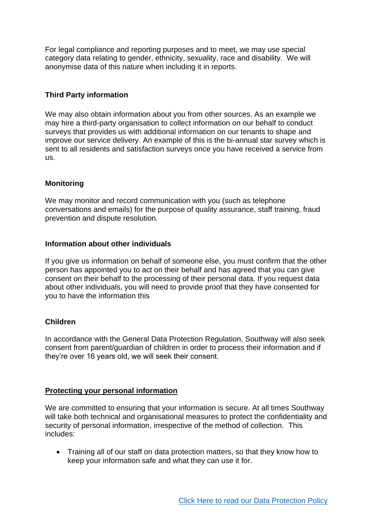For legal compliance and reporting purposes and to meet, we may use special category data relating to gender, ethnicity, sexuality, race and disability. We will anonymise data of this nature when including it in reports.

## **Third Party information**

We may also obtain information about you from other sources. As an example we may hire a third-party organisation to collect information on our behalf to conduct surveys that provides us with additional information on our tenants to shape and improve our service delivery. An example of this is the bi-annual star survey which is sent to all residents and satisfaction surveys once you have received a service from us.

## **Monitoring**

We may monitor and record communication with you (such as telephone conversations and emails) for the purpose of quality assurance, staff training, fraud prevention and dispute resolution.

## **Information about other individuals**

If you give us information on behalf of someone else, you must confirm that the other person has appointed you to act on their behalf and has agreed that you can give consent on their behalf to the processing of their personal data. If you request data about other individuals, you will need to provide proof that they have consented for you to have the information this

## **Children**

In accordance with the General Data Protection Regulation, Southway will also seek consent from parent/guardian of children in order to process their information and if they're over 16 years old, we will seek their consent.

#### **Protecting your personal information**

We are committed to ensuring that your information is secure. At all times Southway will take both technical and organisational measures to protect the confidentiality and security of personal information, irrespective of the method of collection. This includes:

• Training all of our staff on data protection matters, so that they know how to keep your information safe and what they can use it for.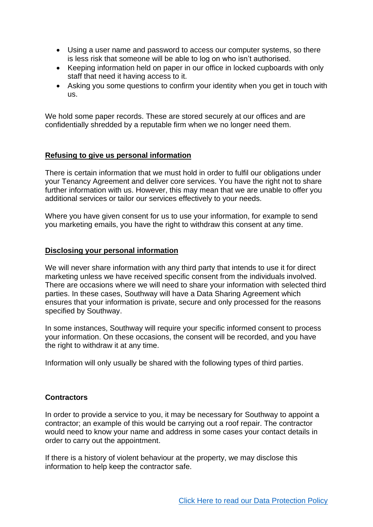- Using a user name and password to access our computer systems, so there is less risk that someone will be able to log on who isn't authorised.
- Keeping information held on paper in our office in locked cupboards with only staff that need it having access to it.
- Asking you some questions to confirm your identity when you get in touch with us.

We hold some paper records. These are stored securely at our offices and are confidentially shredded by a reputable firm when we no longer need them.

## **Refusing to give us personal information**

There is certain information that we must hold in order to fulfil our obligations under your Tenancy Agreement and deliver core services. You have the right not to share further information with us. However, this may mean that we are unable to offer you additional services or tailor our services effectively to your needs.

Where you have given consent for us to use your information, for example to send you marketing emails, you have the right to withdraw this consent at any time.

## **Disclosing your personal information**

We will never share information with any third party that intends to use it for direct marketing unless we have received specific consent from the individuals involved. There are occasions where we will need to share your information with selected third parties. In these cases, Southway will have a Data Sharing Agreement which ensures that your information is private, secure and only processed for the reasons specified by Southway.

In some instances, Southway will require your specific informed consent to process your information. On these occasions, the consent will be recorded, and you have the right to withdraw it at any time.

Information will only usually be shared with the following types of third parties.

# **Contractors**

In order to provide a service to you, it may be necessary for Southway to appoint a contractor; an example of this would be carrying out a roof repair. The contractor would need to know your name and address in some cases your contact details in order to carry out the appointment.

If there is a history of violent behaviour at the property, we may disclose this information to help keep the contractor safe.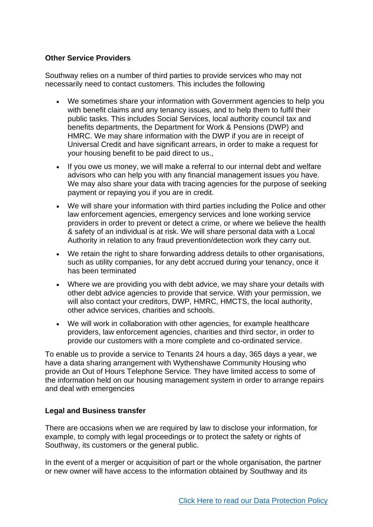## **Other Service Providers**

Southway relies on a number of third parties to provide services who may not necessarily need to contact customers. This includes the following

- We sometimes share your information with Government agencies to help you with benefit claims and any tenancy issues, and to help them to fulfil their public tasks. This includes Social Services, local authority council tax and benefits departments, the Department for Work & Pensions (DWP) and HMRC. We may share information with the DWP if you are in receipt of Universal Credit and have significant arrears, in order to make a request for your housing benefit to be paid direct to us.,
- If you owe us money, we will make a referral to our internal debt and welfare advisors who can help you with any financial management issues you have. We may also share your data with tracing agencies for the purpose of seeking payment or repaying you if you are in credit.
- We will share your information with third parties including the Police and other law enforcement agencies, emergency services and lone working service providers in order to prevent or detect a crime, or where we believe the health & safety of an individual is at risk. We will share personal data with a Local Authority in relation to any fraud prevention/detection work they carry out.
- We retain the right to share forwarding address details to other organisations, such as utility companies, for any debt accrued during your tenancy, once it has been terminated
- Where we are providing you with debt advice, we may share your details with other debt advice agencies to provide that service. With your permission, we will also contact your creditors, DWP, HMRC, HMCTS, the local authority, other advice services, charities and schools.
- We will work in collaboration with other agencies, for example healthcare providers, law enforcement agencies, charities and third sector, in order to provide our customers with a more complete and co-ordinated service.

To enable us to provide a service to Tenants 24 hours a day, 365 days a year, we have a data sharing arrangement with Wythenshawe Community Housing who provide an Out of Hours Telephone Service. They have limited access to some of the information held on our housing management system in order to arrange repairs and deal with emergencies

## **Legal and Business transfer**

There are occasions when we are required by law to disclose your information, for example, to comply with legal proceedings or to protect the safety or rights of Southway, its customers or the general public.

In the event of a merger or acquisition of part or the whole organisation, the partner or new owner will have access to the information obtained by Southway and its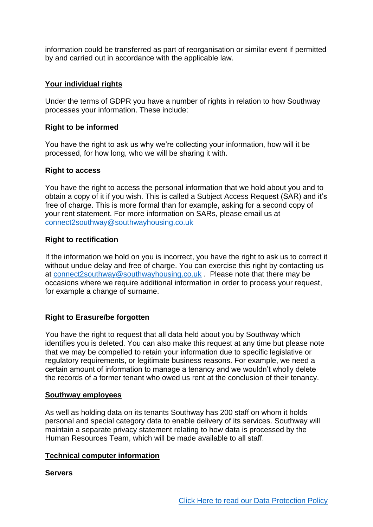information could be transferred as part of reorganisation or similar event if permitted by and carried out in accordance with the applicable law.

## **Your individual rights**

Under the terms of GDPR you have a number of rights in relation to how Southway processes your information. These include:

## **Right to be informed**

You have the right to ask us why we're collecting your information, how will it be processed, for how long, who we will be sharing it with.

## **Right to access**

You have the right to access the personal information that we hold about you and to obtain a copy of it if you wish. This is called a Subject Access Request (SAR) and it's free of charge. This is more formal than for example, asking for a second copy of your rent statement. For more information on SARs, please email us at [connect2southway@southwayhousing.co.uk](mailto:connect2southway@southwayhousing.co.uk)

#### **Right to rectification**

If the information we hold on you is incorrect, you have the right to ask us to correct it without undue delay and free of charge. You can exercise this right by contacting us at [connect2southway@southwayhousing.co.uk](mailto:connect2southway@southwayhousing.co.uk) . Please note that there may be occasions where we require additional information in order to process your request, for example a change of surname.

## **Right to Erasure/be forgotten**

You have the right to request that all data held about you by Southway which identifies you is deleted. You can also make this request at any time but please note that we may be compelled to retain your information due to specific legislative or regulatory requirements, or legitimate business reasons. For example, we need a certain amount of information to manage a tenancy and we wouldn't wholly delete the records of a former tenant who owed us rent at the conclusion of their tenancy.

## **Southway employees**

As well as holding data on its tenants Southway has 200 staff on whom it holds personal and special category data to enable delivery of its services. Southway will maintain a separate privacy statement relating to how data is processed by the Human Resources Team, which will be made available to all staff.

## **Technical computer information**

## **Servers**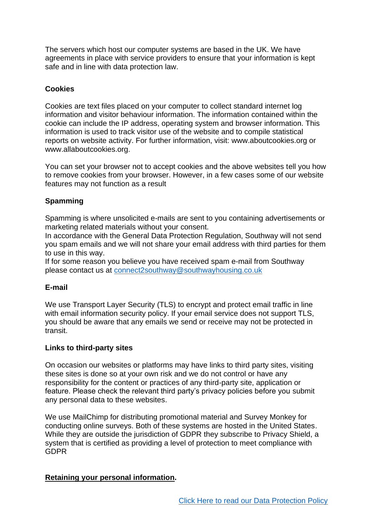The servers which host our computer systems are based in the UK. We have agreements in place with service providers to ensure that your information is kept safe and in line with data protection law.

## **Cookies**

Cookies are text files placed on your computer to collect standard internet log information and visitor behaviour information. The information contained within the cookie can include the IP address, operating system and browser information. This information is used to track visitor use of the website and to compile statistical reports on website activity. For further information, visit: www.aboutcookies.org or www.allaboutcookies.org.

You can set your browser not to accept cookies and the above websites tell you how to remove cookies from your browser. However, in a few cases some of our website features may not function as a result

# **Spamming**

Spamming is where unsolicited e-mails are sent to you containing advertisements or marketing related materials without your consent.

In accordance with the General Data Protection Regulation, Southway will not send you spam emails and we will not share your email address with third parties for them to use in this way.

If for some reason you believe you have received spam e-mail from Southway please contact us at [connect2southway@southwayhousing.co.uk](mailto:connect2southway@southwayhousing.co.uk)

## **E-mail**

We use Transport Layer Security (TLS) to encrypt and protect email traffic in line with email information security policy. If your email service does not support TLS, you should be aware that any emails we send or receive may not be protected in transit.

## **Links to third-party sites**

On occasion our websites or platforms may have links to third party sites, visiting these sites is done so at your own risk and we do not control or have any responsibility for the content or practices of any third-party site, application or feature. Please check the relevant third party's privacy policies before you submit any personal data to these websites.

We use MailChimp for distributing promotional material and Survey Monkey for conducting online surveys. Both of these systems are hosted in the United States. While they are outside the jurisdiction of GDPR they subscribe to Privacy Shield, a system that is certified as providing a level of protection to meet compliance with GDPR

## **Retaining your personal information.**